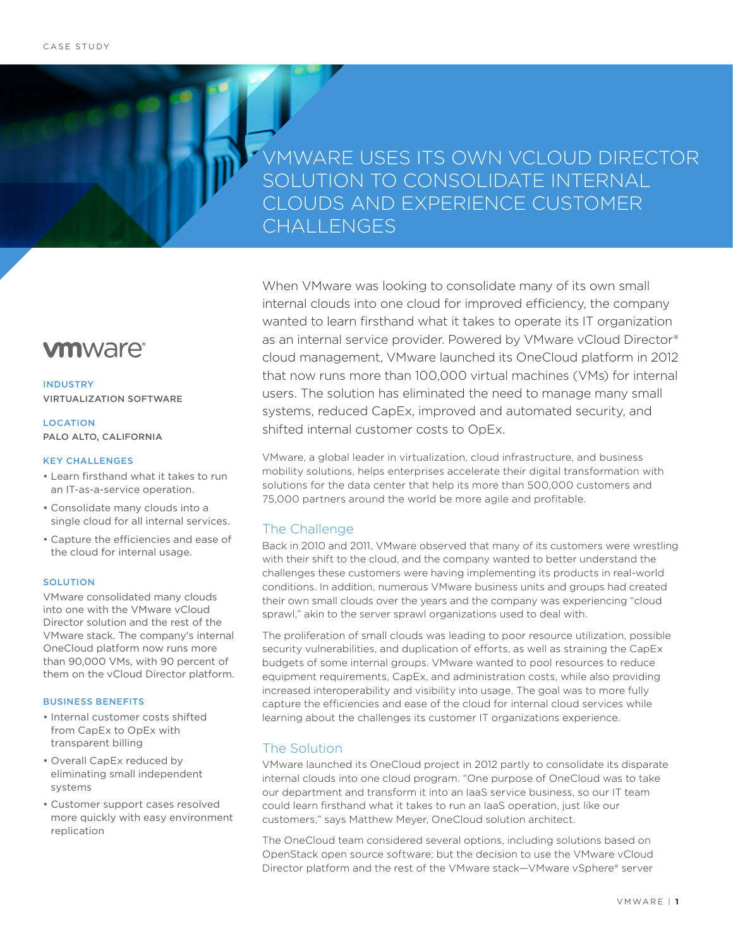## VMWARE USES ITS OWN VCLOUD DIRECTOR SOLUTION TO CONSOLIDATE INTERNAL CLOUDS AND EXPERIENCE CUSTOMER **CHALLENGES**

## When VMware was looking to consolidate many of its own small internal clouds into one cloud for improved efficiency, the company wanted to learn firsthand what it takes to operate its IT organization as an internal service provider. Powered by VMware vCloud Director® cloud management, VMware launched its OneCloud platform in 2012 that now runs more than 100,000 virtual machines (VMs) for internal users. The solution has eliminated the need to manage many small systems, reduced CapEx, improved and automated security, and shifted internal customer costs to OpEx.

VMware, a global leader in virtualization, cloud infrastructure, and business mobility solutions, helps enterprises accelerate their digital transformation with solutions for the data center that help its more than 500,000 customers and 75,000 partners around the world be more agile and profitable.

### The Challenge

Back in 2010 and 2011, VMware observed that many of its customers were wrestling with their shift to the cloud, and the company wanted to better understand the challenges these customers were having implementing its products in real-world conditions. In addition, numerous VMware business units and groups had created their own small clouds over the years and the company was experiencing "cloud sprawl," akin to the server sprawl organizations used to deal with.

The proliferation of small clouds was leading to poor resource utilization, possible security vulnerabilities, and duplication of efforts, as well as straining the CapEx budgets of some internal groups. VMware wanted to pool resources to reduce equipment requirements, CapEx, and administration costs, while also providing increased interoperability and visibility into usage. The goal was to more fully capture the efficiencies and ease of the cloud for internal cloud services while learning about the challenges its customer IT organizations experience.

### The Solution

VMware launched its OneCloud project in 2012 partly to consolidate its disparate internal clouds into one cloud program. "One purpose of OneCloud was to take our department and transform it into an IaaS service business, so our IT team could learn firsthand what it takes to run an IaaS operation, just like our customers," says Matthew Meyer, OneCloud solution architect.

The OneCloud team considered several options, including solutions based on OpenStack open source software; but the decision to use the VMware vCloud Director platform and the rest of the VMware stack—VMware vSphere® server

# **vm**ware<sup>®</sup>

INDUSTRY VIRTUALIZATION SOFTWARE

LOCATION PALO ALTO, CALIFORNIA

#### KEY CHALLENGES

- Learn firsthand what it takes to run an IT-as-a-service operation.
- Consolidate many clouds into a single cloud for all internal services.
- Capture the efficiencies and ease of the cloud for internal usage.

#### **SOLUTION**

VMware consolidated many clouds into one with the VMware vCloud Director solution and the rest of the VMware stack. The company's internal OneCloud platform now runs more than 90,000 VMs, with 90 percent of them on the vCloud Director platform.

#### BUSINESS BENEFITS

- Internal customer costs shifted from CapEx to OpEx with transparent billing
- Overall CapEx reduced by eliminating small independent systems
- Customer support cases resolved more quickly with easy environment replication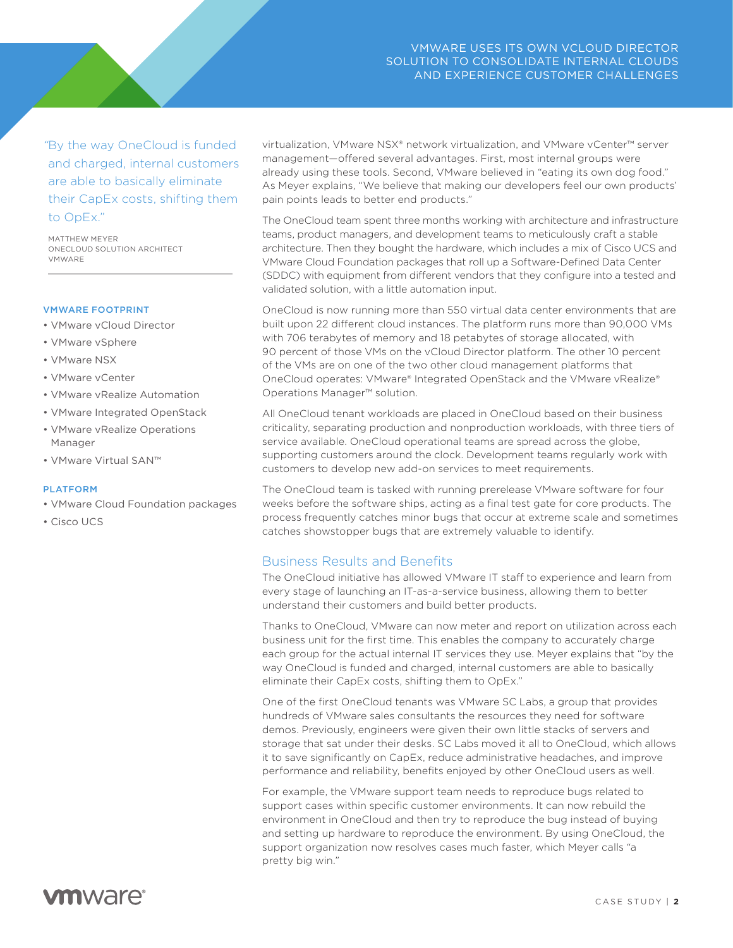*"*By the way OneCloud is funded and charged, internal customers are able to basically eliminate their CapEx costs, shifting them to OpEx."

MATTHEW MEYER ONECLOUD SOLUTION ARCHITECT VMWARE

#### VMWARE FOOTPRINT

- VMware vCloud Director
- VMware vSphere
- VMware NSX
- VMware vCenter
- VMware vRealize Automation
- VMware Integrated OpenStack
- VMware vRealize Operations Manager
- VMware Virtual SAN™

#### PLATFORM

- VMware Cloud Foundation packages
- Cisco UCS

virtualization, VMware NSX® network virtualization, and VMware vCenter™ server management—offered several advantages. First, most internal groups were already using these tools. Second, VMware believed in "eating its own dog food." As Meyer explains, "We believe that making our developers feel our own products' pain points leads to better end products."

The OneCloud team spent three months working with architecture and infrastructure teams, product managers, and development teams to meticulously craft a stable architecture. Then they bought the hardware, which includes a mix of Cisco UCS and VMware Cloud Foundation packages that roll up a Software-Defined Data Center (SDDC) with equipment from different vendors that they configure into a tested and validated solution, with a little automation input.

OneCloud is now running more than 550 virtual data center environments that are built upon 22 different cloud instances. The platform runs more than 90,000 VMs with 706 terabytes of memory and 18 petabytes of storage allocated, with 90 percent of those VMs on the vCloud Director platform. The other 10 percent of the VMs are on one of the two other cloud management platforms that OneCloud operates: VMware® Integrated OpenStack and the VMware vRealize® Operations Manager™ solution.

All OneCloud tenant workloads are placed in OneCloud based on their business criticality, separating production and nonproduction workloads, with three tiers of service available. OneCloud operational teams are spread across the globe, supporting customers around the clock. Development teams regularly work with customers to develop new add-on services to meet requirements.

The OneCloud team is tasked with running prerelease VMware software for four weeks before the software ships, acting as a final test gate for core products. The process frequently catches minor bugs that occur at extreme scale and sometimes catches showstopper bugs that are extremely valuable to identify.

### Business Results and Benefits

The OneCloud initiative has allowed VMware IT staff to experience and learn from every stage of launching an IT-as-a-service business, allowing them to better understand their customers and build better products.

Thanks to OneCloud, VMware can now meter and report on utilization across each business unit for the first time. This enables the company to accurately charge each group for the actual internal IT services they use. Meyer explains that "by the way OneCloud is funded and charged, internal customers are able to basically eliminate their CapEx costs, shifting them to OpEx."

One of the first OneCloud tenants was VMware SC Labs, a group that provides hundreds of VMware sales consultants the resources they need for software demos. Previously, engineers were given their own little stacks of servers and storage that sat under their desks. SC Labs moved it all to OneCloud, which allows it to save significantly on CapEx, reduce administrative headaches, and improve performance and reliability, benefits enjoyed by other OneCloud users as well.

For example, the VMware support team needs to reproduce bugs related to support cases within specific customer environments. It can now rebuild the environment in OneCloud and then try to reproduce the bug instead of buying and setting up hardware to reproduce the environment. By using OneCloud, the support organization now resolves cases much faster, which Meyer calls "a pretty big win."

# **vm**ware<sup>®</sup>